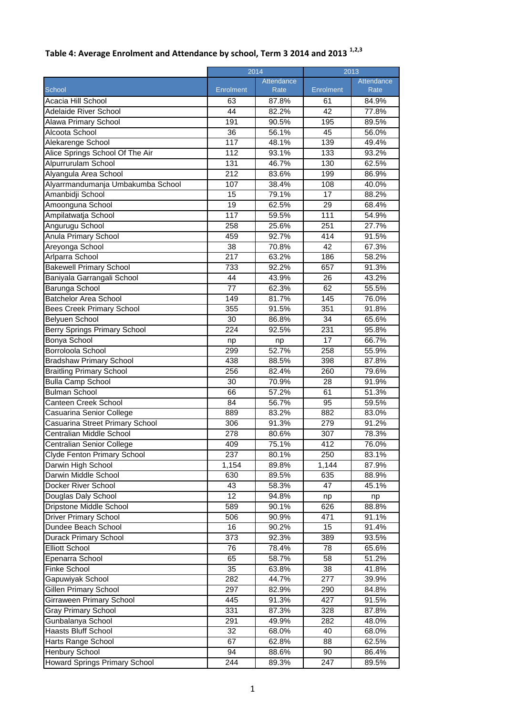|                                     |                  | 2014       |                  | 2013              |  |
|-------------------------------------|------------------|------------|------------------|-------------------|--|
|                                     |                  | Attendance |                  | <b>Attendance</b> |  |
| School                              | <b>Enrolment</b> | Rate       | <b>Enrolment</b> | Rate              |  |
| Acacia Hill School                  | 63               | 87.8%      | 61               | 84.9%             |  |
| Adelaide River School               | 44               | 82.2%      | 42               | 77.8%             |  |
| Alawa Primary School                | 191              | 90.5%      | 195              | 89.5%             |  |
| Alcoota School                      | $\overline{36}$  | 56.1%      | 45               | 56.0%             |  |
| Alekarenge School                   | 117              | 48.1%      | 139              | 49.4%             |  |
| Alice Springs School Of The Air     | 112              | 93.1%      | 133              | 93.2%             |  |
| Alpurrurulam School                 | 131              | 46.7%      | 130              | 62.5%             |  |
| Alyangula Area School               | 212              | 83.6%      | 199              | 86.9%             |  |
| Alyarrmandumanja Umbakumba School   | 107              | 38.4%      | 108              | 40.0%             |  |
| Amanbidji School                    | 15               | 79.1%      | 17               | 88.2%             |  |
| Amoonguna School                    | 19               | 62.5%      | 29               | 68.4%             |  |
| Ampilatwatja School                 | 117              | 59.5%      | 111              | 54.9%             |  |
| Angurugu School                     | 258              | 25.6%      | 251              | 27.7%             |  |
| <b>Anula Primary School</b>         | 459              | 92.7%      | 414              | 91.5%             |  |
| Areyonga School                     | $\overline{38}$  | 70.8%      | 42               | 67.3%             |  |
| Arlparra School                     | 217              | 63.2%      | 186              | 58.2%             |  |
| <b>Bakewell Primary School</b>      | 733              | 92.2%      | 657              | 91.3%             |  |
| Baniyala Garrangali School          | 44               | 43.9%      | 26               | 43.2%             |  |
| Barunga School                      | 77               | 62.3%      | 62               | 55.5%             |  |
| <b>Batchelor Area School</b>        | 149              | 81.7%      | 145              | 76.0%             |  |
| <b>Bees Creek Primary School</b>    | 355              | 91.5%      | 351              | 91.8%             |  |
| Belyuen School                      | 30               | 86.8%      | 34               | 65.6%             |  |
| <b>Berry Springs Primary School</b> | 224              | 92.5%      | 231              | 95.8%             |  |
| Bonya School                        | np               | np         | 17               | 66.7%             |  |
| Borroloola School                   | 299              | 52.7%      | 258              | 55.9%             |  |
| <b>Bradshaw Primary School</b>      | 438              | 88.5%      | 398              | 87.8%             |  |
| <b>Braitling Primary School</b>     | 256              | 82.4%      | 260              | 79.6%             |  |
| <b>Bulla Camp School</b>            | 30               | 70.9%      | 28               | 91.9%             |  |
| <b>Bulman School</b>                | 66               | 57.2%      | 61               | 51.3%             |  |
| Canteen Creek School                | 84               | 56.7%      | 95               | 59.5%             |  |
| Casuarina Senior College            | 889              | 83.2%      | 882              | 83.0%             |  |
| Casuarina Street Primary School     | 306              | 91.3%      | 279              | 91.2%             |  |
| Centralian Middle School            | 278              | 80.6%      | 307              | 78.3%             |  |
| Centralian Senior College           | 409              | 75.1%      | 412              | 76.0%             |  |
| Clyde Fenton Primary School         | 237              | 80.1%      | 250              | 83.1%             |  |
| Darwin High School                  | 1,154            | 89.8%      | 1,144            | 87.9%             |  |
| Darwin Middle School                | 630              | 89.5%      | 635              | 88.9%             |  |
| <b>Docker River School</b>          | 43               | 58.3%      | 47               | 45.1%             |  |
| Douglas Daly School                 | 12               | 94.8%      | np               | np                |  |
| Dripstone Middle School             | 589              | 90.1%      | 626              | 88.8%             |  |
| <b>Driver Primary School</b>        | 506              | 90.9%      | 471              | 91.1%             |  |
| Dundee Beach School                 | 16               | 90.2%      | 15               | 91.4%             |  |
| <b>Durack Primary School</b>        | 373              | 92.3%      | 389              | 93.5%             |  |
| <b>Elliott School</b>               | 76               | 78.4%      | 78               | 65.6%             |  |
| Epenarra School                     | 65               | 58.7%      | 58               | 51.2%             |  |
| Finke School                        | 35               | 63.8%      | 38               | 41.8%             |  |
| Gapuwiyak School                    | 282              | 44.7%      | 277              | 39.9%             |  |
| Gillen Primary School               | 297              | 82.9%      | 290              | 84.8%             |  |
| Girraween Primary School            | 445              | 91.3%      | 427              | 91.5%             |  |
| <b>Gray Primary School</b>          | 331              | 87.3%      | 328              | 87.8%             |  |
| Gunbalanya School                   | 291              | 49.9%      | 282              | 48.0%             |  |
| Haasts Bluff School                 | 32               | 68.0%      | 40               | 68.0%             |  |
| Harts Range School                  | 67               | 62.8%      | 88               | 62.5%             |  |
| <b>Henbury School</b>               | 94               | 88.6%      | 90               | 86.4%             |  |

## **Table 4: Average Enrolment and Attendance by school, Term 3 2014 and 2013 1,2,3**

Howard Springs Primary School | 244 | 89.3% | 247 | 89.5%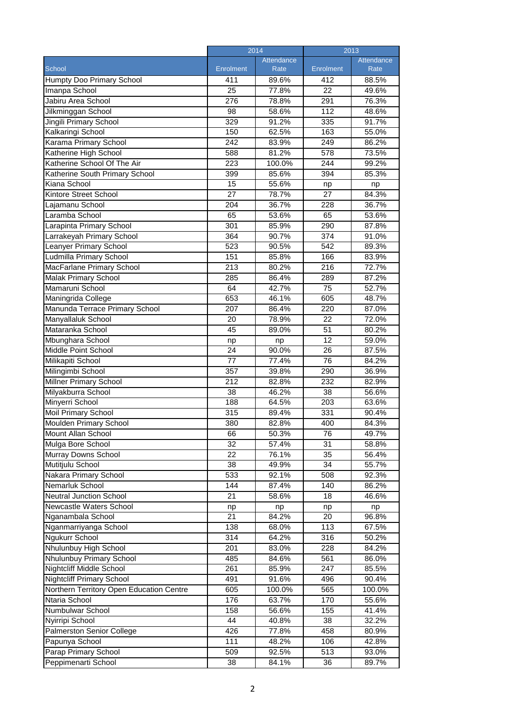|                                                           | 2014             |                | 2013            |                |
|-----------------------------------------------------------|------------------|----------------|-----------------|----------------|
|                                                           |                  | Attendance     |                 | Attendance     |
| School                                                    | <b>Enrolment</b> | Rate           | Enrolment       | Rate           |
| <b>Humpty Doo Primary School</b>                          | 411              | 89.6%          | 412             | 88.5%          |
| Imanpa School                                             | 25               | 77.8%          | 22              | 49.6%          |
| Jabiru Area School                                        | 276              | 78.8%          | 291             | 76.3%          |
| Jilkminggan School                                        | 98               | 58.6%          | 112             | 48.6%          |
| Jingili Primary School                                    | 329              | 91.2%          | 335             | 91.7%          |
| Kalkaringi School                                         | 150              | 62.5%          | 163             | 55.0%          |
| Karama Primary School                                     | 242              | 83.9%          | 249             | 86.2%          |
| Katherine High School                                     | 588              | 81.2%          | 578             | 73.5%          |
| Katherine School Of The Air                               | 223              | 100.0%         | 244             | 99.2%          |
| Katherine South Primary School                            | 399              | 85.6%          | 394             | 85.3%          |
| Kiana School                                              | 15               | 55.6%          | np              | np             |
| Kintore Street School                                     | $\overline{27}$  | 78.7%          | 27              | 84.3%          |
| Lajamanu School                                           | 204              | 36.7%          | 228             | 36.7%          |
| Laramba School                                            | 65               | 53.6%          | 65              | 53.6%          |
| Larapinta Primary School                                  | 301              | 85.9%          | 290             | 87.8%          |
| Larrakeyah Primary School                                 | 364              | 90.7%          | 374             | 91.0%          |
| Leanyer Primary School                                    | 523              | 90.5%          | 542             | 89.3%          |
| Ludmilla Primary School                                   | 151              | 85.8%          | 166             | 83.9%          |
| MacFarlane Primary School                                 | $\overline{213}$ | 80.2%          | 216             | 72.7%          |
| <b>Malak Primary School</b>                               | 285              | 86.4%          | 289             | 87.2%          |
| Mamaruni School                                           | 64               | 42.7%          | 75              | 52.7%          |
| Maningrida College                                        | 653              | 46.1%          | 605             | 48.7%          |
| Manunda Terrace Primary School                            | 207              | 86.4%          | 220             | 87.0%          |
| Manyallaluk School                                        | 20               | 78.9%          | 22              | 72.0%          |
| Mataranka School                                          | 45               | 89.0%          | $\overline{51}$ | 80.2%          |
| Mbunghara School                                          | np               | np             | 12              | 59.0%          |
| Middle Point School                                       | 24               | 90.0%          | 26              | 87.5%          |
| Milikapiti School                                         | 77               | 77.4%          | 76              | 84.2%          |
| Milingimbi School                                         | 357              | 39.8%          | 290             | 36.9%          |
| <b>Millner Primary School</b>                             | 212              | 82.8%          | 232             | 82.9%          |
| Milyakburra School                                        | 38               | 46.2%          | 38              | 56.6%          |
| Minyerri School                                           | 188              | 64.5%          | 203             | 63.6%          |
| <b>Moil Primary School</b>                                | 315              | 89.4%          | 331             | 90.4%          |
| <b>Moulden Primary School</b>                             | 380              | 82.8%          | 400             | 84.3%          |
| Mount Allan School                                        | 66               | 50.3%          | 76              | 49.7%          |
| Mulga Bore School                                         | 32               | 57.4%          | 31              | 58.8%          |
| Murray Downs School                                       | 22               | 76.1%          | 35              | 56.4%          |
| Mutitjulu School                                          | 38               | 49.9%          | 34              | 55.7%          |
| Nakara Primary School                                     | 533              | 92.1%          | 508             | 92.3%          |
| Nemarluk School                                           | 144              | 87.4%          | 140             | 86.2%          |
| <b>Neutral Junction School</b>                            | 21               | 58.6%          | 18              | 46.6%          |
| Newcastle Waters School                                   | np               | np             | np              | np             |
| Nganambala School                                         | 21               | 84.2%          | 20              | 96.8%          |
| Nganmarriyanga School                                     | 138              | 68.0%          | 113             | 67.5%          |
| Ngukurr School                                            | 314              | 64.2%          | 316             | 50.2%          |
| Nhulunbuy High School                                     | 201              | 83.0%          | 228             | 84.2%          |
| Nhulunbuy Primary School                                  | 485              | 84.6%          | 561             | 86.0%          |
| <b>Nightcliff Middle School</b>                           | 261              | 85.9%          | 247             | 85.5%          |
| <b>Nightcliff Primary School</b>                          | 491              | 91.6%          | 496             | 90.4%          |
| Northern Territory Open Education Centre<br>Ntaria School | 605<br>176       | 100.0%         | 565<br>170      | 100.0%         |
| Numbulwar School                                          |                  | 63.7%          |                 | 55.6%          |
| Nyirripi School                                           | 158<br>44        | 56.6%          | 155<br>38       | 41.4%          |
| <b>Palmerston Senior College</b>                          | 426              | 40.8%<br>77.8% | 458             | 32.2%<br>80.9% |
| Papunya School                                            | 111              | 48.2%          | 106             | 42.8%          |
| Parap Primary School                                      | 509              | 92.5%          | 513             | 93.0%          |
| Peppimenarti School                                       | 38               | 84.1%          | 36              | 89.7%          |
|                                                           |                  |                |                 |                |